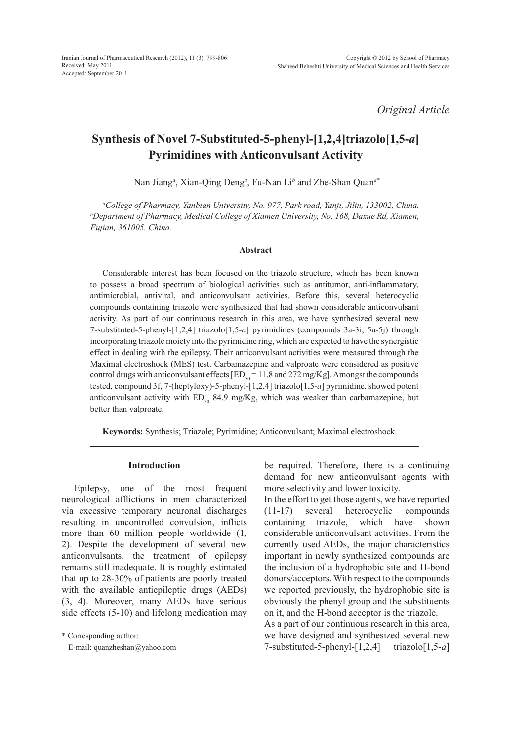*Original Article*

# **Synthesis of Novel 7-Substituted-5-phenyl-[1,2,4]triazolo[1,5-***a***] Pyrimidines with Anticonvulsant Activity**

Nan Jiang*<sup>a</sup>* , Xian-Qing Deng*<sup>a</sup>* , Fu-Nan Li*<sup>b</sup>* and Zhe-Shan Quan*a\**

*a College of Pharmacy, Yanbian University, No. 977, Park road, Yanji, Jilin, 133002, China. b Department of Pharmacy, Medical College of Xiamen University, No. 168, Daxue Rd, Xiamen, Fujian, 361005, China.*

#### **Abstract**

Considerable interest has been focused on the triazole structure, which has been known to possess a broad spectrum of biological activities such as antitumor, anti-inflammatory, antimicrobial, antiviral, and anticonvulsant activities. Before this, several heterocyclic compounds containing triazole were synthesized that had shown considerable anticonvulsant activity. As part of our continuous research in this area, we have synthesized several new 7-substituted-5-phenyl-[1,2,4] triazolo[1,5-*a*] pyrimidines (compounds 3a-3i, 5a-5j) through incorporating triazole moiety into the pyrimidine ring, which are expected to have the synergistic effect in dealing with the epilepsy. Their anticonvulsant activities were measured through the Maximal electroshock (MES) test. Carbamazepine and valproate were considered as positive control drugs with anticonvulsant effects  $[ED_{50} = 11.8$  and 272 mg/Kg]. Amongst the compounds tested, compound 3f, 7-(heptyloxy)-5-phenyl-[1,2,4] triazolo[1,5-*a*] pyrimidine, showed potent anticonvulsant activity with  $ED_{50}$  84.9 mg/Kg, which was weaker than carbamazepine, but better than valproate.

**Keywords:** Synthesis; Triazole; Pyrimidine; Anticonvulsant; Maximal electroshock.

#### **Introduction**

Epilepsy, one of the most frequent neurological afflictions in men characterized via excessive temporary neuronal discharges resulting in uncontrolled convulsion, inflicts more than 60 million people worldwide (1, 2). Despite the development of several new anticonvulsants, the treatment of epilepsy remains still inadequate. It is roughly estimated that up to 28-30% of patients are poorly treated with the available antiepileptic drugs (AEDs) (3, 4). Moreover, many AEDs have serious side effects (5-10) and lifelong medication may

\* Corresponding author:

E-mail: quanzheshan@yahoo.com

be required. Therefore, there is a continuing demand for new anticonvulsant agents with more selectivity and lower toxicity.

In the effort to get those agents, we have reported (11-17) several heterocyclic compounds containing triazole, which have shown considerable anticonvulsant activities. From the currently used AEDs, the major characteristics important in newly synthesized compounds are the inclusion of a hydrophobic site and H-bond donors/acceptors. With respect to the compounds we reported previously, the hydrophobic site is obviously the phenyl group and the substituents on it, and the H-bond acceptor is the triazole.

As a part of our continuous research in this area, we have designed and synthesized several new 7-substituted-5-phenyl-[1,2,4] triazolo[1,5-*a*]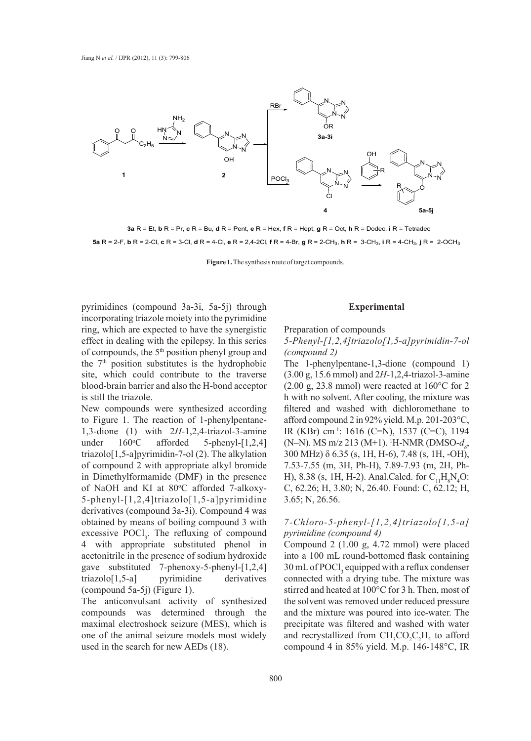

**3a** R = Et, **b** R = Pr, **c** R = Bu, **d** R = Pent, **e** R = Hex, **f** R = Hept, **g** R = Oct, **h** R = Dodec, **i** R = Tetradec **5a** R = 2-F, **b** R = 2-Cl, **c** R = 3-Cl, **d** R = 4-Cl, **e** R = 2,4-2Cl, **f** R = 4-Br, **g** R = 2-CH3, **h** R = 3-CH3, **i** R = 4-CH3, **j** R = 2-OCH3

**Figure 1.** The synthesis route of target compounds.

pyrimidines (compound 3a-3i, 5a-5j) through incorporating triazole moiety into the pyrimidine ring, which are expected to have the synergistic effect in dealing with the epilepsy. In this series of compounds, the 5th position phenyl group and the  $7<sup>th</sup>$  position substitutes is the hydrophobic site, which could contribute to the traverse blood-brain barrier and also the H-bond acceptor is still the triazole.

New compounds were synthesized according to Figure 1. The reaction of 1-phenylpentane-1,3-dione (1) with 2*H*-1,2,4-triazol-3-amine under 160°C afforded  $5$ -phenyl- $[1,2,4]$ triazolo[1,5-a]pyrimidin-7-ol (2). The alkylation of compound 2 with appropriate alkyl bromide in Dimethylformamide (DMF) in the presence of NaOH and KI at 80°C afforded 7-alkoxy-5-phenyl-[1,2,4]triazolo[1,5-a]pyrimidine derivatives (compound 3a-3i). Compound 4 was obtained by means of boiling compound 3 with excessive  $POCl<sub>3</sub>$ . The refluxing of compound 4 with appropriate substituted phenol in acetonitrile in the presence of sodium hydroxide gave substituted 7-phenoxy-5-phenyl-[1,2,4] triazolo[1,5-a] pyrimidine derivatives (compound 5a-5j) (Figure 1).

The anticonvulsant activity of synthesized compounds was determined through the maximal electroshock seizure (MES), which is one of the animal seizure models most widely used in the search for new AEDs (18).

#### **Experimental**

Preparation of compounds

## *5-Phenyl-[1,2,4]triazolo[1,5-a]pyrimidin-7-ol (compound 2)*

The 1-phenylpentane-1,3-dione (compound 1) (3.00 g, 15.6 mmol) and 2*H*-1,2,4-triazol-3-amine  $(2.00 \text{ g}, 23.8 \text{ mmol})$  were reacted at  $160^{\circ}$ C for 2 h with no solvent. After cooling, the mixture was filtered and washed with dichloromethane to afford compound 2 in 92% yield. M.p. 201-203°C, IR (KBr) cm-1: 1616 (C=N), 1537 (C=C), 1194 (N–N). MS m/z 213 (M+1). <sup>1</sup>H-NMR (DMSO- $d_6$ , 300 MHz) δ 6.35 (s, 1H, H-6), 7.48 (s, 1H, -OH), 7.53-7.55 (m, 3H, Ph-H), 7.89-7.93 (m, 2H, Ph-H), 8.38 (s, 1H, H-2). Anal.Calcd. for  $C_{11}H_8N_4O$ : C, 62.26; H, 3.80; N, 26.40. Found: C, 62.12; H, 3.65; N, 26.56.

## *7-Chloro-5-phenyl-[1,2,4]triazolo[1,5-a] pyrimidine (compound 4)*

Compound 2 (1.00 g, 4.72 mmol) were placed into a 100 mL round-bottomed flask containing  $30 \text{ mL of } P OCl<sub>3</sub>$  equipped with a reflux condenser connected with a drying tube. The mixture was stirred and heated at 100°C for 3 h. Then, most of the solvent was removed under reduced pressure and the mixture was poured into ice-water. The precipitate was filtered and washed with water and recrystallized from  $CH_3CO_2C_2H_5$  to afford compound 4 in 85% yield. M.p. 146-148°C, IR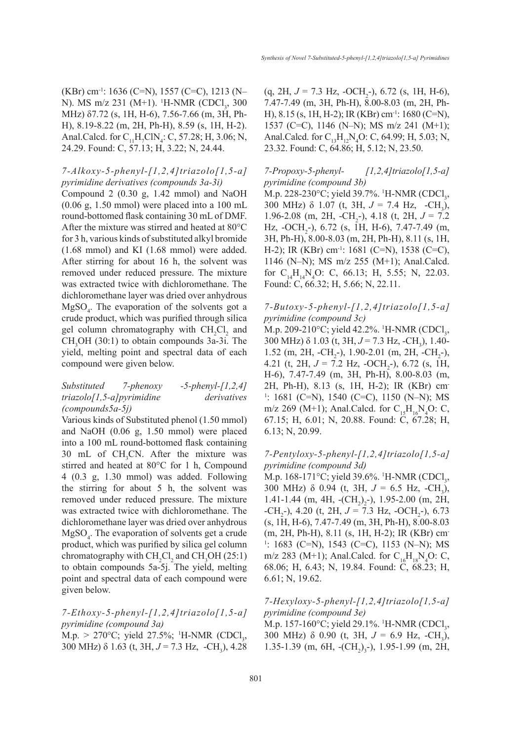*Synthesis of Novel 7-Substituted-5-phenyl-[1,2,4]triazolo[1,5-a] Pyrimidines*

(KBr) cm-1: 1636 (C=N), 1557 (C=C), 1213 (N– N). MS m/z 231 (M+1). <sup>1</sup>H-NMR (CDCl<sub>3</sub>, 300) MHz) δ7.72 (s, 1H, H-6), 7.56-7.66 (m, 3H, Ph-H), 8.19-8.22 (m, 2H, Ph-H), 8.59 (s, 1H, H-2). Anal.Calcd. for  $C_{11}H_7CN_4$ : C, 57.28; H, 3.06; N, 24.29. Found: C, 57.13; H, 3.22; N, 24.44.

# *7-Alkoxy-5-phenyl-[1,2,4]triazolo[1,5-a] pyrimidine derivatives (compounds 3a-3i)*

Compound 2 (0.30 g, 1.42 mmol) and NaOH (0.06 g, 1.50 mmol) were placed into a 100 mL round-bottomed flask containing 30 mL of DMF. After the mixture was stirred and heated at 80°C for 3 h, various kinds of substituted alkyl bromide (1.68 mmol) and KI (1.68 mmol) were added. After stirring for about 16 h, the solvent was removed under reduced pressure. The mixture was extracted twice with dichloromethane. The dichloromethane layer was dried over anhydrous  $MgSO<sub>4</sub>$ . The evaporation of the solvents got a crude product, which was purified through silica gel column chromatography with  $CH_2Cl_2$  and  $CH<sub>3</sub>OH$  (30:1) to obtain compounds 3a-3i. The yield, melting point and spectral data of each compound were given below.

## *Substituted 7-phenoxy -5-phenyl-[1,2,4] triazolo[1,5-a]pyrimidine derivatives (compounds5a-5j)*

Various kinds of Substituted phenol (1.50 mmol) and NaOH (0.06 g, 1.50 mmol) were placed into a 100 mL round-bottomed flask containing 30 mL of  $CH<sub>3</sub>CN$ . After the mixture was stirred and heated at 80°C for 1 h, Compound 4 (0.3 g, 1.30 mmol) was added. Following the stirring for about 5 h, the solvent was removed under reduced pressure. The mixture was extracted twice with dichloromethane. The dichloromethane layer was dried over anhydrous  $MgSO<sub>4</sub>$ . The evaporation of solvents get a crude product, which was purified by silica gel column chromatography with  $CH_2Cl_2$  and  $CH_3OH (25.1)$ to obtain compounds 5a-5j. The yield, melting point and spectral data of each compound were given below.

*7-Ethoxy-5-phenyl-[1,2,4]triazolo[1,5-a] pyrimidine (compound 3a)*  $M.p. > 270^{\circ}C$ ; yield  $27.5\%$ ; <sup>1</sup>H-NMR (CDCl<sub>3</sub>,

300 MHz)  $\delta$  1.63 (t, 3H,  $J = 7.3$  Hz,  $-CH_3$ ), 4.28

 $(q, 2H, J = 7.3 Hz, -OCH<sub>2</sub>-), 6.72 (s, 1H, H-6),$ 7.47-7.49 (m, 3H, Ph-H), 8.00-8.03 (m, 2H, Ph-H), 8.15 (s, 1H, H-2); IR (KBr) cm-1: 1680 (C=N), 1537 (C=C), 1146 (N–N); MS m/z 241 (M+1); Anal.Calcd. for  $C_{13}H_{12}N_4O$ : C, 64.99; H, 5.03; N, 23.32. Found: C, 64.86; H, 5.12; N, 23.50.

# *7-Propoxy-5-phenyl- [1,2,4]triazolo[1,5-a] pyrimidine (compound 3b)*

M.p. 228-230°C; yield 39.7%. <sup>1</sup>H-NMR (CDCl<sub>3</sub>, 300 MHz)  $\delta$  1.07 (t, 3H,  $J = 7.4$  Hz,  $-CH_3$ ), 1.96-2.08 (m, 2H,  $-CH_2$ -), 4.18 (t, 2H,  $J = 7.2$ ) Hz,  $-OCH_2$ -), 6.72 (s, 1H, H-6), 7.47-7.49 (m, 3H, Ph-H), 8.00-8.03 (m, 2H, Ph-H), 8.11 (s, 1H, H-2); IR (KBr) cm<sup>-1</sup>: 1681 (C=N), 1538 (C=C), 1146 (N–N); MS m/z 255 (M+1); Anal.Calcd. for  $C_{14}H_{14}N_4O$ : C, 66.13; H, 5.55; N, 22.03. Found: C, 66.32; H, 5.66; N, 22.11.

# *7-Butoxy-5-phenyl-[1,2,4]triazolo[1,5-a] pyrimidine (compound 3c)*

M.p. 209-210°C; yield 42.2%. <sup>1</sup>H-NMR (CDCl<sub>3</sub>, 300 MHz)  $\delta$  1.03 (t, 3H,  $J = 7.3$  Hz,  $-CH_3$ ), 1.40-1.52 (m, 2H,  $-CH_2$ -), 1.90-2.01 (m, 2H,  $-CH_2$ -), 4.21 (t, 2H,  $J = 7.2$  Hz,  $-CCH_2$ -), 6.72 (s, 1H, H-6), 7.47-7.49 (m, 3H, Ph-H), 8.00-8.03 (m, 2H, Ph-H), 8.13 (s, 1H, H-2); IR (KBr) cm-1 : 1681 (C=N), 1540 (C=C), 1150 (N–N); MS m/z 269 (M+1); Anal.Calcd. for  $C_{15}H_{16}N_4O$ : C, 67.15; H, 6.01; N, 20.88. Found: C, 67.28; H, 6.13; N, 20.99.

## *7-Pentyloxy-5-phenyl-[1,2,4]triazolo[1,5-a] pyrimidine (compound 3d)*

M.p. 168-171°C; yield 39.6%. <sup>1</sup>H-NMR (CDCl<sub>3</sub>, 300 MHz)  $\delta$  0.94 (t, 3H,  $J = 6.5$  Hz,  $-CH_3$ ), 1.41-1.44 (m, 4H,  $-(CH<sub>2</sub>)<sub>2</sub>$ -), 1.95-2.00 (m, 2H,  $-CH_2$ -), 4.20 (t, 2H,  $J = 7.3$  Hz,  $-CH_2$ -), 6.73 (s, 1H, H-6), 7.47-7.49 (m, 3H, Ph-H), 8.00-8.03 (m, 2H, Ph-H), 8.11 (s, 1H, H-2); IR (KBr) cm-1 : 1683 (C=N), 1543 (C=C), 1153 (N–N); MS m/z 283 (M+1); Anal.Calcd. for  $C_{16}H_{18}N_4O$ : C, 68.06; H, 6.43; N, 19.84. Found: C, 68.23; H, 6.61; N, 19.62.

# *7-Hexyloxy-5-phenyl-[1,2,4]triazolo[1,5-a] pyrimidine (compound 3e)*

M.p. 157-160°C; yield 29.1%. 'H-NMR (CDCl<sub>3</sub>, 300 MHz)  $\delta$  0.90 (t, 3H,  $J = 6.9$  Hz, -CH<sub>3</sub>), 1.35-1.39 (m, 6H,  $-(CH<sub>2</sub>)<sub>3</sub>$ -), 1.95-1.99 (m, 2H,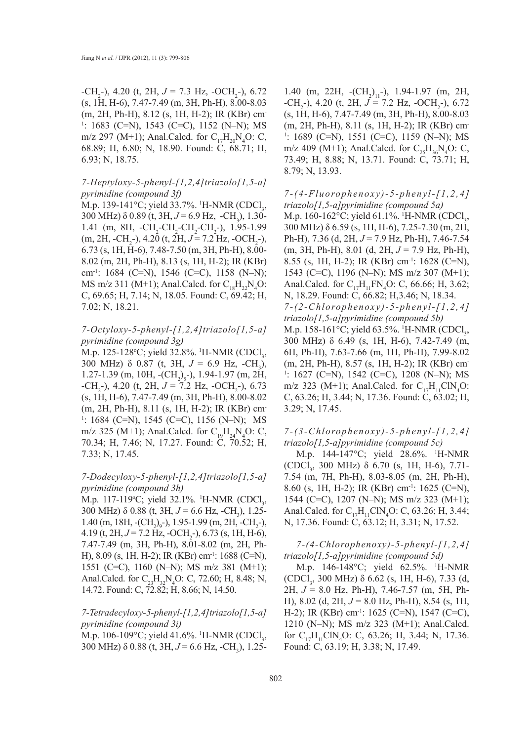$-CH_2$ -), 4.20 (t, 2H,  $J = 7.3$  Hz,  $-CH_2$ -), 6.72 (s, 1H, H-6), 7.47-7.49 (m, 3H, Ph-H), 8.00-8.03 (m, 2H, Ph-H), 8.12 (s, 1H, H-2); IR (KBr) cm-1 : 1683 (C=N), 1543 (C=C), 1152 (N–N); MS m/z 297 (M+1); Anal.Calcd. for  $C_{17}H_{20}N_4O$ : C, 68.89; H, 6.80; N, 18.90. Found: C, 68.71; H, 6.93; N, 18.75.

#### *7-Heptyloxy-5-phenyl-[1,2,4]triazolo[1,5-a] pyrimidine (compound 3f)*

M.p. 139-141°C; yield 33.7%. <sup>1</sup>H-NMR (CDCl<sub>3</sub>, 300 MHz)  $\delta$  0.89 (t, 3H,  $J = 6.9$  Hz,  $\text{-CH}_3$ ), 1.30-1.41 (m, 8H,  $-CH_2-CH_2-CH_2-CH_2-), 1.95-1.99$  $(m, 2H, -CH<sub>2</sub>^{-}), 4.20$  (t,  $2H, J = 7.2$  Hz,  $-OCH<sub>2</sub>^{-}),$ 6.73 (s, 1H, H-6), 7.48-7.50 (m, 3H, Ph-H), 8.00- 8.02 (m, 2H, Ph-H), 8.13 (s, 1H, H-2); IR (KBr) cm-1: 1684 (C=N), 1546 (C=C), 1158 (N–N); MS m/z 311 (M+1); Anal.Calcd. for  $C_{18}H_{22}N_4O$ : C, 69.65; H, 7.14; N, 18.05. Found: C, 69.42; H, 7.02; N, 18.21.

#### *7-Octyloxy-5-phenyl-[1,2,4]triazolo[1,5-a] pyrimidine (compound 3g)*

M.p. 125-128°C; yield 32.8%.  $H\text{-NMR (CDCl}_3$ , 300 MHz)  $\delta$  0.87 (t, 3H,  $J = 6.9$  Hz, -CH<sub>3</sub>),  $1.27 - 1.39$  (m, 10H,  $-(CH<sub>2</sub>)<sub>5</sub>$ -), 1.94-1.97 (m, 2H,  $-CH_2$ -), 4.20 (t, 2H,  $J = 7.2$  Hz,  $-CH_2$ -), 6.73 (s, 1H, H-6), 7.47-7.49 (m, 3H, Ph-H), 8.00-8.02 (m, 2H, Ph-H), 8.11 (s, 1H, H-2); IR (KBr) cm-1 : 1684 (C=N), 1545 (C=C), 1156 (N–N); MS m/z 325 (M+1); Anal.Calcd. for  $C_{19}H_{24}N_{4}O$ : C, 70.34; H, 7.46; N, 17.27. Found: C, 70.52; H, 7.33; N, 17.45.

## *7-Dodecyloxy-5-phenyl-[1,2,4]triazolo[1,5-a] pyrimidine (compound 3h)*

M.p. 117-119°C; yield 32.1%. <sup>1</sup>H-NMR (CDCl<sub>3</sub>, 300 MHz)  $\delta$  0.88 (t, 3H,  $J = 6.6$  Hz, -CH<sub>3</sub>), 1.25-1.40 (m, 18H,  $-(CH<sub>2</sub>)<sub>9</sub>$ -), 1.95-1.99 (m, 2H,  $-CH<sub>2</sub>$ -), 4.19 (t, 2H, J = 7.2 Hz, -OCH<sub>2</sub>-), 6.73 (s, 1H, H-6), 7.47-7.49 (m, 3H, Ph-H), 8.01-8.02 (m, 2H, Ph-H), 8.09 (s, 1H, H-2); IR (KBr) cm-1: 1688 (C=N), 1551 (C=C), 1160 (N–N); MS m/z 381 (M+1); Anal.Calcd. for  $C_{23}H_{32}N_4O$ : C, 72.60; H, 8.48; N, 14.72. Found: C, 72.82; H, 8.66; N, 14.50.

## *7-Tetradecyloxy-5-phenyl-[1,2,4]triazolo[1,5-a] pyrimidine (compound 3i)*

M.p. 106-109°C; yield 41.6%. <sup>1</sup>H-NMR (CDCl<sub>3</sub>, 300 MHz) δ 0.88 (t, 3H, *J* = 6.6 Hz, -CH<sub>3</sub>), 1.25-

1.40 (m, 22H,  $-(CH<sub>2</sub>)<sub>11</sub>$ -), 1.94-1.97 (m, 2H,  $-CH_2$ -), 4.20 (t, 2H,  $J = 7.2$  Hz,  $-CH_2$ -), 6.72 (s, 1H, H-6), 7.47-7.49 (m, 3H, Ph-H), 8.00-8.03 (m, 2H, Ph-H), 8.11 (s, 1H, H-2); IR (KBr) cm-1 : 1689 (C=N), 1551 (C=C), 1159 (N–N); MS m/z 409 (M+1); Anal.Calcd. for  $C_{25}H_{36}N_{4}O$ : C, 73.49; H, 8.88; N, 13.71. Found: C, 73.71; H, 8.79; N, 13.93.

# *7-(4-Fluorophenoxy)-5-phenyl-[1,2,4] triazolo[1,5-a]pyrimidine (compound 5a)*

M.p. 160-162°C; yield 61.1%. <sup>1</sup>H-NMR (CDCl<sub>3</sub>, 300 MHz) δ 6.59 (s, 1H, H-6), 7.25-7.30 (m, 2H, Ph-H), 7.36 (d, 2H, *J* = 7.9 Hz, Ph-H), 7.46-7.54 (m, 3H, Ph-H), 8.01 (d, 2H, *J* = 7.9 Hz, Ph-H), 8.55 (s, 1H, H-2); IR (KBr) cm-1: 1628 (C=N), 1543 (C=C), 1196 (N–N); MS m/z 307 (M+1); Anal.Calcd. for  $C_{17}H_{11}FN_4O$ : C, 66.66; H, 3.62; N, 18.29. Found: C, 66.82; H,3.46; N, 18.34. *7-(2-Chlorophenoxy)-5-phenyl-[1,2,4] triazolo[1,5-a]pyrimidine (compound 5b)* M.p. 158-161°C; yield 63.5%. <sup>1</sup>H-NMR (CDCl<sub>3</sub>, 300 MHz) δ 6.49 (s, 1H, H-6), 7.42-7.49 (m, 6H, Ph-H), 7.63-7.66 (m, 1H, Ph-H), 7.99-8.02 (m, 2H, Ph-H), 8.57 (s, 1H, H-2); IR (KBr) cm-1 : 1627 (C=N), 1542 (C=C), 1208 (N–N); MS m/z 323 (M+1); Anal.Calcd. for  $C_{17}H_{11}CN_4O$ : C, 63.26; H, 3.44; N, 17.36. Found: C, 63.02; H, 3.29; N, 17.45.

#### *7-(3-Chlorophenoxy)-5-phenyl-[1,2,4] triazolo[1,5-a]pyrimidine (compound 5c)*

M.p. 144-147°C; yield 28.6%. 1 H-NMR (CDCl<sub>3</sub>, 300 MHz)  $\delta$  6.70 (s, 1H, H-6), 7.71-7.54 (m, 7H, Ph-H), 8.03-8.05 (m, 2H, Ph-H), 8.60 (s, 1H, H-2); IR (KBr) cm-1: 1625 (C=N), 1544 (C=C), 1207 (N–N); MS m/z 323 (M+1); Anal.Calcd. for  $C_{17}H_{11}CIN_4O$ : C, 63.26; H, 3.44; N, 17.36. Found: C, 63.12; H, 3.31; N, 17.52.

## *7-(4-Chlorophenoxy)-5-phenyl-[1,2,4] triazolo[1,5-a]pyrimidine (compound 5d)*

M.p. 146-148°C; yield 62.5%. <sup>1</sup>H-NMR  $(CDCl<sub>3</sub>, 300 MHz)$  δ 6.62 (s, 1H, H-6), 7.33 (d, 2H, *J* = 8.0 Hz, Ph-H), 7.46-7.57 (m, 5H, Ph-H), 8.02 (d, 2H, *J* = 8.0 Hz, Ph-H), 8.54 (s, 1H, H-2); IR (KBr) cm-1: 1625 (C=N), 1547 (C=C), 1210 (N–N); MS m/z 323 (M+1); Anal.Calcd. for  $C_{17}H_{11}CIN_4O$ : C, 63.26; H, 3.44; N, 17.36. Found: C, 63.19; H, 3.38; N, 17.49.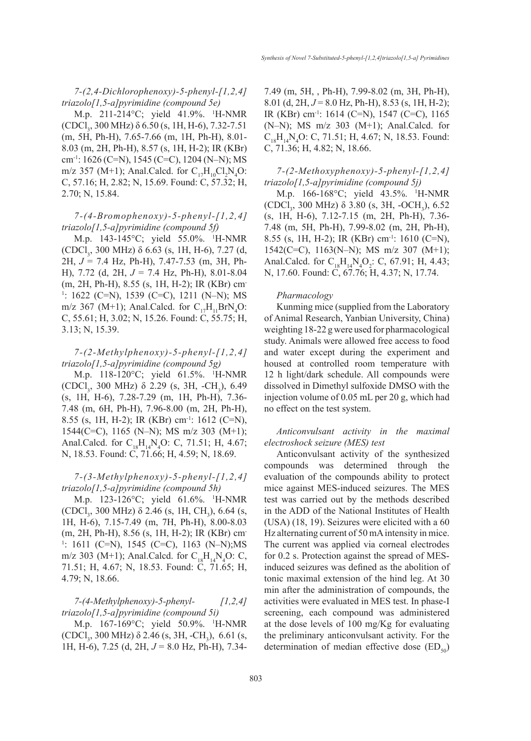*7-(2,4-Dichlorophenoxy)-5-phenyl-[1,2,4] triazolo[1,5-a]pyrimidine (compound 5e)*

M.p. 211-214°C; yield 41.9%. 1 H-NMR  $(CDCl<sub>3</sub>, 300 MHz)$  δ 6.50 (s, 1H, H-6), 7.32-7.51 (m, 5H, Ph-H), 7.65-7.66 (m, 1H, Ph-H), 8.01- 8.03 (m, 2H, Ph-H), 8.57 (s, 1H, H-2); IR (KBr) cm<sup>-1</sup>: 1626 (C=N), 1545 (C=C), 1204 (N–N); MS m/z 357 (M+1); Anal.Calcd. for  $C_{17}H_{10}Cl_2N_4O$ : C, 57.16; H, 2.82; N, 15.69. Found: C, 57.32; H, 2.70; N, 15.84.

*7-(4-Bromophenoxy)-5-phenyl-[1,2,4] triazolo[1,5-a]pyrimidine (compound 5f)*

M.p. 143-145°C; yield 55.0%. 1 H-NMR  $(CDCl<sub>3</sub>, 300 MHz)$  δ 6.63 (s, 1H, H-6), 7.27 (d, 2H, *J* = 7.4 Hz, Ph-H), 7.47-7.53 (m, 3H, Ph-H), 7.72 (d, 2H, *J* = 7.4 Hz, Ph-H), 8.01-8.04 (m, 2H, Ph-H), 8.55 (s, 1H, H-2); IR (KBr) cm-1 : 1622 (C=N), 1539 (C=C), 1211 (N–N); MS m/z 367 (M+1); Anal.Calcd. for  $C_{17}H_{11}BrN_4O$ : C, 55.61; H, 3.02; N, 15.26. Found: C, 55.75; H, 3.13; N, 15.39.

## *7-(2-Methylphenoxy)-5-phenyl-[1,2,4] triazolo[1,5-a]pyrimidine (compound 5g)*

M.p. 118-120°C; yield 61.5%. <sup>1</sup>H-NMR (CDCl<sub>3</sub>, 300 MHz)  $\delta$  2.29 (s, 3H, -CH<sub>3</sub>), 6.49 (s, 1H, H-6), 7.28-7.29 (m, 1H, Ph-H), 7.36- 7.48 (m, 6H, Ph-H), 7.96-8.00 (m, 2H, Ph-H), 8.55 (s, 1H, H-2); IR (KBr) cm-1: 1612 (C=N), 1544(C=C), 1165 (N–N); MS m/z 303 (M+1); Anal.Calcd. for  $C_{18}H_{14}N_4O$ : C, 71.51; H, 4.67; N, 18.53. Found: C, 71.66; H, 4.59; N, 18.69.

## *7-(3-Methylphenoxy)-5-phenyl-[1,2,4] triazolo[1,5-a]pyrimidine (compound 5h)*

M.p. 123-126°C; yield 61.6%. 1 H-NMR (CDCl<sub>3</sub>, 300 MHz)  $\delta$  2.46 (s, 1H, CH<sub>3</sub>), 6.64 (s, 1H, H-6), 7.15-7.49 (m, 7H, Ph-H), 8.00-8.03 (m, 2H, Ph-H), 8.56 (s, 1H, H-2); IR (KBr) cm-1 : 1611 (C=N), 1545 (C=C), 1163 (N–N);MS m/z 303 (M+1); Anal.Calcd. for  $C_{18}H_{14}N_{4}O$ : C, 71.51; H, 4.67; N, 18.53. Found: C, 71.65; H, 4.79; N, 18.66.

*7-(4-Methylphenoxy)-5-phenyl- [1,2,4] triazolo[1,5-a]pyrimidine (compound 5i)*

M.p. 167-169°C; yield 50.9%. 1 H-NMR  $(CDCI_3, 300 MHz)$   $\delta$  2.46 (s, 3H, -CH<sub>3</sub>), 6.61 (s, 1H, H-6), 7.25 (d, 2H, *J* = 8.0 Hz, Ph-H), 7.347.49 (m, 5H, , Ph-H), 7.99-8.02 (m, 3H, Ph-H), 8.01 (d, 2H, *J* = 8.0 Hz, Ph-H), 8.53 (s, 1H, H-2); IR (KBr) cm-1: 1614 (C=N), 1547 (C=C), 1165 (N–N); MS m/z 303 (M+1); Anal.Calcd. for  $C_{18}H_{14}N_{4}O$ : C, 71.51; H, 4.67; N, 18.53. Found: C, 71.36; H, 4.82; N, 18.66.

# *7-(2-Methoxyphenoxy)-5-phenyl-[1,2,4] triazolo[1,5-a]pyrimidine (compound 5j)*

M.p. 166-168°C; yield 43.5%. <sup>1</sup>H-NMR (CDCl<sub>3</sub>, 300 MHz)  $\delta$  3.80 (s, 3H, -OCH<sub>3</sub>), 6.52 (s, 1H, H-6), 7.12-7.15 (m, 2H, Ph-H), 7.36- 7.48 (m, 5H, Ph-H), 7.99-8.02 (m, 2H, Ph-H), 8.55 (s, 1H, H-2); IR (KBr) cm-1: 1610 (C=N), 1542(C=C), 1163(N–N); MS m/z 307 (M+1); Anal.Calcd. for  $C_{18}H_{14}N_4O_2$ : C, 67.91; H, 4.43; N, 17.60. Found: C, 67.76; H, 4.37; N, 17.74.

#### *Pharmacology*

Kunming mice (supplied from the Laboratory of Animal Research, Yanbian University, China) weighting 18-22 g were used for pharmacological study. Animals were allowed free access to food and water except during the experiment and housed at controlled room temperature with 12 h light/dark schedule. All compounds were dissolved in Dimethyl sulfoxide DMSO with the injection volume of 0.05 mL per 20 g, which had no effect on the test system.

## *Anticonvulsant activity in the maximal electroshock seizure (MES) test*

Anticonvulsant activity of the synthesized compounds was determined through the evaluation of the compounds ability to protect mice against MES-induced seizures. The MES test was carried out by the methods described in the ADD of the National Institutes of Health (USA) (18, 19). Seizures were elicited with a 60 Hz alternating current of 50 mA intensity in mice. The current was applied via corneal electrodes for 0.2 s. Protection against the spread of MESinduced seizures was defined as the abolition of tonic maximal extension of the hind leg. At 30 min after the administration of compounds, the activities were evaluated in MES test. In phase-I screening, each compound was administered at the dose levels of 100 mg/Kg for evaluating the preliminary anticonvulsant activity. For the determination of median effective dose  $(ED_{50})$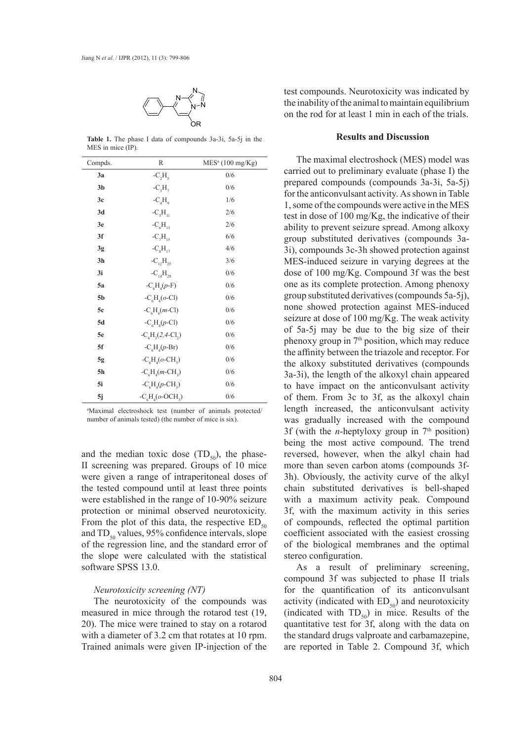

**Table 1.** The phase I data of compounds 3a-3i, 5a-5j in the MES in mice (IP).

| Compds.        | $\mathbb{R}$       | MES <sup>a</sup> (100 mg/Kg) |
|----------------|--------------------|------------------------------|
| 3a             | $-C_2H_5$          | 0/6                          |
| 3 <sub>b</sub> | $-C_3H_7$          | 0/6                          |
| 3 <sub>c</sub> | $-C4H0$            | 1/6                          |
| 3d             | $-C_{5}H_{11}$     | 2/6                          |
| 3 <sub>e</sub> | $-C_6H_{13}$       | 2/6                          |
| 3f             | $-C_{7}H_{15}$     | 6/6                          |
| 3g             | $-C_8H_{17}$       | 4/6                          |
| 3 <sub>h</sub> | $-C_{12}H_{25}$    | 3/6                          |
| 3i             | $-C_{14}H_{29}$    | 0/6                          |
| 5a             | $-C_6H_4(p-F)$     | 0/6                          |
| 5 <sub>b</sub> | $-C6H4(o-Cl)$      | 0/6                          |
| 5c             | $-C6H4(m-Cl)$      | 0/6                          |
| 5d             | $-C6H4(p-Cl)$      | 0/6                          |
| 5e             | $-C6H3(2, 4-Cl2)$  | 0/6                          |
| 5f             | $-C6H4(p-Br)$      | 0/6                          |
| 5g             | $-C_6H_4(o-CH_3)$  | 0/6                          |
| 5 <sub>h</sub> | $-C6H4(m-CH3)$     | 0/6                          |
| 5i             | $-C6H4(p-CH3)$     | 0/6                          |
| 5j             | $-C_6H_4(o-OCH_3)$ | 0/6                          |

a Maximal electroshock test (number of animals protected/ number of animals tested) (the number of mice is six).

and the median toxic dose  $(TD_{50})$ , the phase-II screening was prepared. Groups of 10 mice were given a range of intraperitoneal doses of the tested compound until at least three points were established in the range of 10-90% seizure protection or minimal observed neurotoxicity. From the plot of this data, the respective  $ED_{50}$ and  $TD_{50}$  values, 95% confidence intervals, slope of the regression line, and the standard error of the slope were calculated with the statistical software SPSS 13.0.

#### *Neurotoxicity screening (NT)*

The neurotoxicity of the compounds was measured in mice through the rotarod test (19, 20). The mice were trained to stay on a rotarod with a diameter of 3.2 cm that rotates at 10 rpm. Trained animals were given IP-injection of the

test compounds. Neurotoxicity was indicated by the inability of the animal to maintain equilibrium on the rod for at least 1 min in each of the trials.

#### **Results and Discussion**

The maximal electroshock (MES) model was carried out to preliminary evaluate (phase I) the prepared compounds (compounds 3a-3i, 5a-5j) for the anticonvulsant activity. As shown in Table 1, some of the compounds were active in the MES test in dose of 100 mg/Kg, the indicative of their ability to prevent seizure spread. Among alkoxy group substituted derivatives (compounds 3a-3i), compounds 3c-3h showed protection against MES-induced seizure in varying degrees at the dose of 100 mg/Kg. Compound 3f was the best one as its complete protection. Among phenoxy group substituted derivatives (compounds 5a-5j), none showed protection against MES-induced seizure at dose of 100 mg/Kg. The weak activity of 5a-5j may be due to the big size of their phenoxy group in 7<sup>th</sup> position, which may reduce the affinity between the triazole and receptor. For the alkoxy substituted derivatives (compounds 3a-3i), the length of the alkoxyl chain appeared to have impact on the anticonvulsant activity of them. From 3c to 3f, as the alkoxyl chain length increased, the anticonvulsant activity was gradually increased with the compound 3f (with the *n*-heptyloxy group in  $7<sup>th</sup>$  position) being the most active compound. The trend reversed, however, when the alkyl chain had more than seven carbon atoms (compounds 3f-3h). Obviously, the activity curve of the alkyl chain substituted derivatives is bell-shaped with a maximum activity peak. Compound 3f, with the maximum activity in this series of compounds, reflected the optimal partition coefficient associated with the easiest crossing of the biological membranes and the optimal stereo configuration.

As a result of preliminary screening, compound 3f was subjected to phase II trials for the quantification of its anticonvulsant activity (indicated with  $ED_{50}$ ) and neurotoxicity (indicated with  $TD_{50}$ ) in mice. Results of the quantitative test for 3f, along with the data on the standard drugs valproate and carbamazepine, are reported in Table 2. Compound 3f, which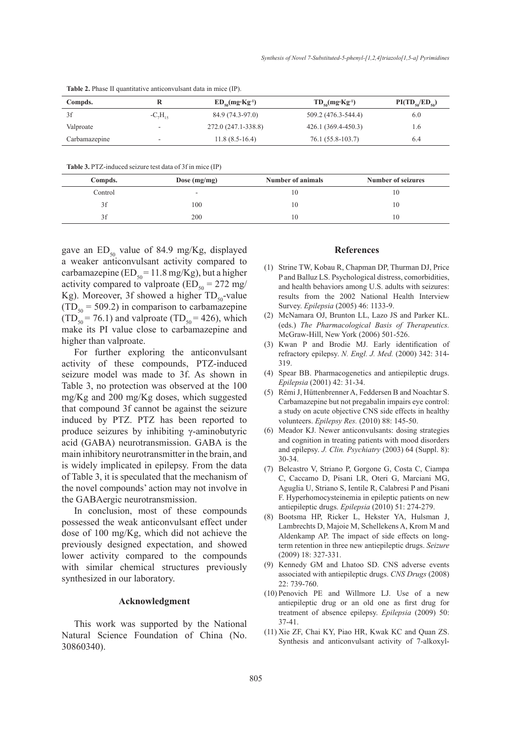| Compds.       |                | $ED_{so}(mg \cdot Kg^{-1})$ | $TD_{50}(mg \cdot Kg^{-1})$ | $PI(TD_{50}/ED_{50})$ |
|---------------|----------------|-----------------------------|-----------------------------|-----------------------|
| 3f            | $-C_{7}H_{15}$ | 84.9 (74.3-97.0)            | 509.2 (476.3-544.4)         | 6.0                   |
| Valproate     |                | 272.0 (247.1-338.8)         | 426.1 (369.4-450.3)         | 1.6                   |
| Carbamazepine | -              | $11.8(8.5-16.4)$            | 76.1 (55.8-103.7)           | 6.4                   |

**Table 2.** Phase II quantitative anticonvulsant data in mice (IP).

**Table 3.** PTZ-induced seizure test data of 3f in mice (IP)

| Compds. | Dose $(mg/mg)$ | Number of animals | Number of seizures |
|---------|----------------|-------------------|--------------------|
| Control |                | 10                | 10                 |
| 3f      | 100            | 10                | 10                 |
| 3f      | 200            | 10                | 10                 |
|         |                |                   |                    |

gave an  $ED_{50}$  value of 84.9 mg/Kg, displayed a weaker anticonvulsant activity compared to carbamazepine ( $ED_{50} = 11.8$  mg/Kg), but a higher activity compared to valproate ( $ED_{50} = 272$  mg/ Kg). Moreover, 3f showed a higher  $TD_{50}$ -value  $(TD_{50} = 509.2)$  in comparison to carbamazepine  $(TD_{50} = 76.1)$  and valproate  $(TD_{50} = 426)$ , which make its PI value close to carbamazepine and higher than valproate.

For further exploring the anticonvulsant activity of these compounds, PTZ-induced seizure model was made to 3f. As shown in Table 3, no protection was observed at the 100 mg/Kg and 200 mg/Kg doses, which suggested that compound 3f cannot be against the seizure induced by PTZ. PTZ has been reported to produce seizures by inhibiting γ-aminobutyric acid (GABA) neurotransmission. GABA is the main inhibitory neurotransmitter in the brain, and is widely implicated in epilepsy. From the data of Table 3, it is speculated that the mechanism of the novel compounds' action may not involve in the GABAergic neurotransmission.

In conclusion, most of these compounds possessed the weak anticonvulsant effect under dose of 100 mg/Kg, which did not achieve the previously designed expectation, and showed lower activity compared to the compounds with similar chemical structures previously synthesized in our laboratory.

#### **Acknowledgment**

This work was supported by the National Natural Science Foundation of China (No. 30860340).

#### **References**

- (1) Strine TW, Kobau R, Chapman DP, Thurman DJ, Price P and Balluz LS. Psychological distress, comorbidities, and health behaviors among U.S. adults with seizures: results from the 2002 National Health Interview Survey. *Epilepsia* (2005) 46: 1133-9.
- McNamara OJ, Brunton LL, Lazo JS and Parker KL. (2) (eds.) *The Pharmacological Basis of Therapeutics.* McGraw-Hill, New York (2006) 501-526.
- (3) Kwan P and Brodie MJ. Early identification of refractory epilepsy. *N. Engl. J. Med.* (2000) 342: 314- 319.
- (4) Spear BB. Pharmacogenetics and antiepileptic drugs. *Epilepsia* (2001) 42: 31-34.
- Rémi J, Hüttenbrenner A, Feddersen B and Noachtar S. (5) Carbamazepine but not pregabalin impairs eye control: a study on acute objective CNS side effects in healthy volunteers. *Epilepsy Res.* (2010) 88: 145-50.
- (6) Meador KJ. Newer anticonvulsants: dosing strategies and cognition in treating patients with mood disorders and epilepsy. *J. Clin. Psychiatry* (2003) 64 (Suppl. 8): 30-34.
- Belcastro V, Striano P, Gorgone G, Costa C, Ciampa (7) C, Caccamo D, Pisani LR, Oteri G, Marciani MG, Aguglia U, Striano S, Ientile R, Calabresi P and Pisani F. Hyperhomocysteinemia in epileptic patients on new antiepileptic drugs. *Epilepsia* (2010) 51: 274-279.
- Bootsma HP, Ricker L, Hekster YA, Hulsman J, (8) Lambrechts D, Majoie M, Schellekens A, Krom M and Aldenkamp AP. The impact of side effects on longterm retention in three new antiepileptic drugs. *Seizure* (2009) 18: 327-331.
- (9) Kennedy GM and Lhatoo SD. CNS adverse events associated with antiepileptic drugs. *CNS Drugs* (2008) 22: 739-760.
- $(10)$  Penovich PE and Willmore LJ. Use of a new antiepileptic drug or an old one as first drug for treatment of absence epilepsy. *Epilepsia* (2009) 50: 37-41.
- $(11)$  Xie ZF, Chai KY, Piao HR, Kwak KC and Quan ZS. Synthesis and anticonvulsant activity of 7-alkoxyl-